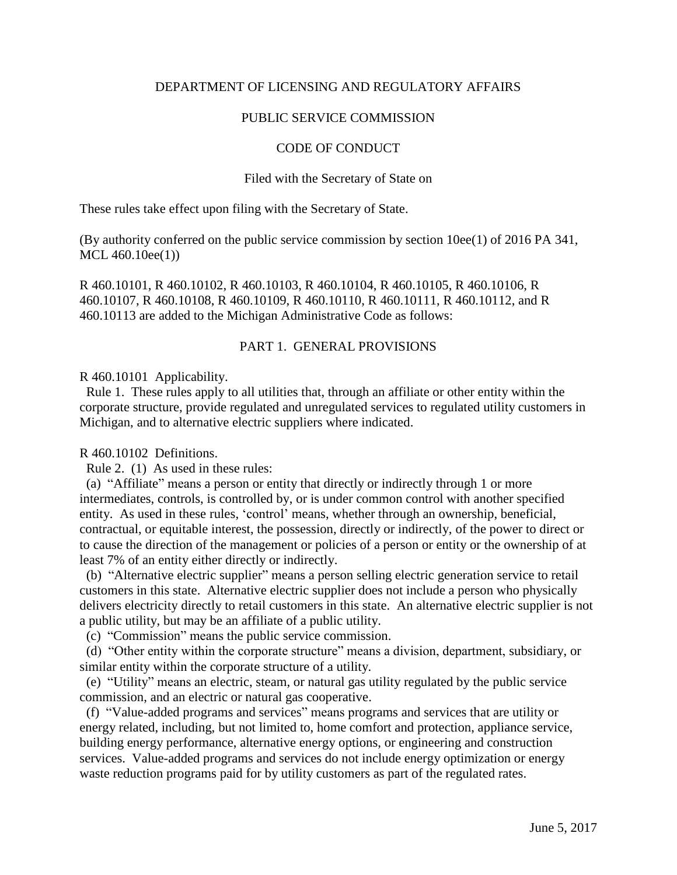# DEPARTMENT OF LICENSING AND REGULATORY AFFAIRS

# PUBLIC SERVICE COMMISSION

# CODE OF CONDUCT

## Filed with the Secretary of State on

These rules take effect upon filing with the Secretary of State.

(By authority conferred on the public service commission by section 10ee(1) of 2016 PA 341, MCL 460.10ee(1))

R 460.10101, R 460.10102, R 460.10103, R 460.10104, R 460.10105, R 460.10106, R 460.10107, R 460.10108, R 460.10109, R 460.10110, R 460.10111, R 460.10112, and R 460.10113 are added to the Michigan Administrative Code as follows:

# PART 1. GENERAL PROVISIONS

R 460.10101 Applicability.

 Rule 1. These rules apply to all utilities that, through an affiliate or other entity within the corporate structure, provide regulated and unregulated services to regulated utility customers in Michigan, and to alternative electric suppliers where indicated.

## R 460.10102 Definitions.

Rule 2. (1) As used in these rules:

 (a) "Affiliate" means a person or entity that directly or indirectly through 1 or more intermediates, controls, is controlled by, or is under common control with another specified entity. As used in these rules, 'control' means, whether through an ownership, beneficial, contractual, or equitable interest, the possession, directly or indirectly, of the power to direct or to cause the direction of the management or policies of a person or entity or the ownership of at least 7% of an entity either directly or indirectly.

 (b) "Alternative electric supplier" means a person selling electric generation service to retail customers in this state. Alternative electric supplier does not include a person who physically delivers electricity directly to retail customers in this state. An alternative electric supplier is not a public utility, but may be an affiliate of a public utility.

(c) "Commission" means the public service commission.

 (d) "Other entity within the corporate structure" means a division, department, subsidiary, or similar entity within the corporate structure of a utility.

 (e) "Utility" means an electric, steam, or natural gas utility regulated by the public service commission, and an electric or natural gas cooperative.

 (f) "Value-added programs and services" means programs and services that are utility or energy related, including, but not limited to, home comfort and protection, appliance service, building energy performance, alternative energy options, or engineering and construction services. Value-added programs and services do not include energy optimization or energy waste reduction programs paid for by utility customers as part of the regulated rates.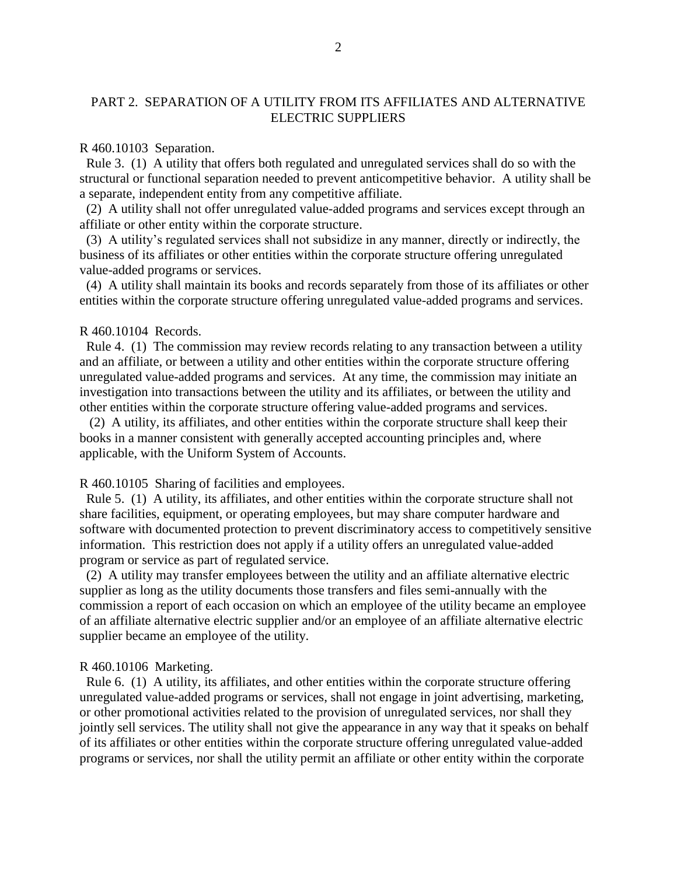# PART 2. SEPARATION OF A UTILITY FROM ITS AFFILIATES AND ALTERNATIVE ELECTRIC SUPPLIERS

#### R 460.10103 Separation.

Rule 3. (1) A utility that offers both regulated and unregulated services shall do so with the structural or functional separation needed to prevent anticompetitive behavior. A utility shall be a separate, independent entity from any competitive affiliate.

 (2) A utility shall not offer unregulated value-added programs and services except through an affiliate or other entity within the corporate structure.

 (3) A utility's regulated services shall not subsidize in any manner, directly or indirectly, the business of its affiliates or other entities within the corporate structure offering unregulated value-added programs or services.

 (4) A utility shall maintain its books and records separately from those of its affiliates or other entities within the corporate structure offering unregulated value-added programs and services.

### R 460.10104 Records.

 Rule 4. (1) The commission may review records relating to any transaction between a utility and an affiliate, or between a utility and other entities within the corporate structure offering unregulated value-added programs and services. At any time, the commission may initiate an investigation into transactions between the utility and its affiliates, or between the utility and other entities within the corporate structure offering value-added programs and services.

 (2) A utility, its affiliates, and other entities within the corporate structure shall keep their books in a manner consistent with generally accepted accounting principles and, where applicable, with the Uniform System of Accounts.

### R 460.10105 Sharing of facilities and employees.

 Rule 5. (1) A utility, its affiliates, and other entities within the corporate structure shall not share facilities, equipment, or operating employees, but may share computer hardware and software with documented protection to prevent discriminatory access to competitively sensitive information. This restriction does not apply if a utility offers an unregulated value-added program or service as part of regulated service.

 (2) A utility may transfer employees between the utility and an affiliate alternative electric supplier as long as the utility documents those transfers and files semi-annually with the commission a report of each occasion on which an employee of the utility became an employee of an affiliate alternative electric supplier and/or an employee of an affiliate alternative electric supplier became an employee of the utility.

#### R 460.10106 Marketing.

 Rule 6. (1) A utility, its affiliates, and other entities within the corporate structure offering unregulated value-added programs or services, shall not engage in joint advertising, marketing, or other promotional activities related to the provision of unregulated services, nor shall they jointly sell services. The utility shall not give the appearance in any way that it speaks on behalf of its affiliates or other entities within the corporate structure offering unregulated value-added programs or services, nor shall the utility permit an affiliate or other entity within the corporate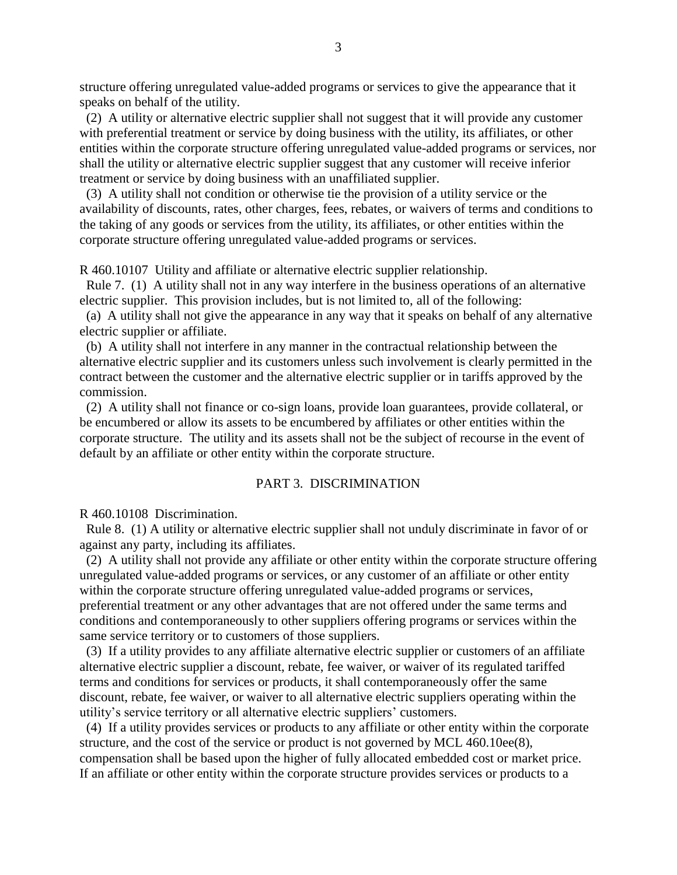structure offering unregulated value-added programs or services to give the appearance that it speaks on behalf of the utility.

 (2) A utility or alternative electric supplier shall not suggest that it will provide any customer with preferential treatment or service by doing business with the utility, its affiliates, or other entities within the corporate structure offering unregulated value-added programs or services, nor shall the utility or alternative electric supplier suggest that any customer will receive inferior treatment or service by doing business with an unaffiliated supplier.

 (3) A utility shall not condition or otherwise tie the provision of a utility service or the availability of discounts, rates, other charges, fees, rebates, or waivers of terms and conditions to the taking of any goods or services from the utility, its affiliates, or other entities within the corporate structure offering unregulated value-added programs or services.

R 460.10107 Utility and affiliate or alternative electric supplier relationship.

 Rule 7. (1) A utility shall not in any way interfere in the business operations of an alternative electric supplier. This provision includes, but is not limited to, all of the following:

 (a) A utility shall not give the appearance in any way that it speaks on behalf of any alternative electric supplier or affiliate.

 (b) A utility shall not interfere in any manner in the contractual relationship between the alternative electric supplier and its customers unless such involvement is clearly permitted in the contract between the customer and the alternative electric supplier or in tariffs approved by the commission.

 (2) A utility shall not finance or co-sign loans, provide loan guarantees, provide collateral, or be encumbered or allow its assets to be encumbered by affiliates or other entities within the corporate structure. The utility and its assets shall not be the subject of recourse in the event of default by an affiliate or other entity within the corporate structure.

## PART 3. DISCRIMINATION

R 460.10108 Discrimination.

 Rule 8. (1) A utility or alternative electric supplier shall not unduly discriminate in favor of or against any party, including its affiliates.

 (2) A utility shall not provide any affiliate or other entity within the corporate structure offering unregulated value-added programs or services, or any customer of an affiliate or other entity within the corporate structure offering unregulated value-added programs or services, preferential treatment or any other advantages that are not offered under the same terms and conditions and contemporaneously to other suppliers offering programs or services within the same service territory or to customers of those suppliers.

 (3) If a utility provides to any affiliate alternative electric supplier or customers of an affiliate alternative electric supplier a discount, rebate, fee waiver, or waiver of its regulated tariffed terms and conditions for services or products, it shall contemporaneously offer the same discount, rebate, fee waiver, or waiver to all alternative electric suppliers operating within the utility's service territory or all alternative electric suppliers' customers.

 (4) If a utility provides services or products to any affiliate or other entity within the corporate structure, and the cost of the service or product is not governed by MCL 460.10ee(8), compensation shall be based upon the higher of fully allocated embedded cost or market price. If an affiliate or other entity within the corporate structure provides services or products to a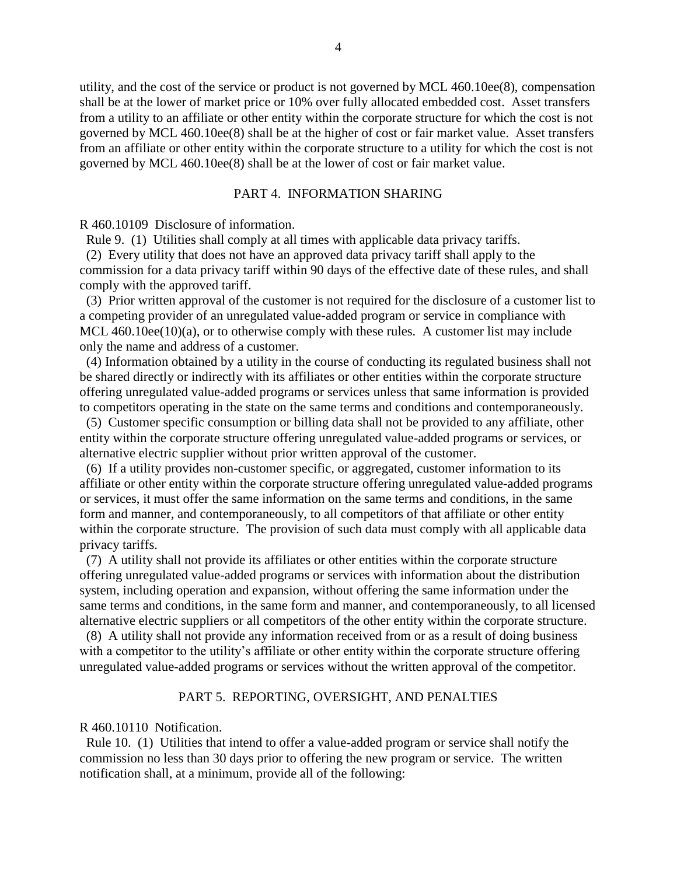utility, and the cost of the service or product is not governed by MCL 460.10ee(8), compensation shall be at the lower of market price or 10% over fully allocated embedded cost. Asset transfers from a utility to an affiliate or other entity within the corporate structure for which the cost is not governed by MCL 460.10ee(8) shall be at the higher of cost or fair market value. Asset transfers from an affiliate or other entity within the corporate structure to a utility for which the cost is not governed by MCL 460.10ee(8) shall be at the lower of cost or fair market value.

### PART 4. INFORMATION SHARING

R 460.10109 Disclosure of information.

Rule 9. (1) Utilities shall comply at all times with applicable data privacy tariffs.

 (2) Every utility that does not have an approved data privacy tariff shall apply to the commission for a data privacy tariff within 90 days of the effective date of these rules, and shall comply with the approved tariff.

(3) Prior written approval of the customer is not required for the disclosure of a customer list to a competing provider of an unregulated value-added program or service in compliance with MCL 460.10ee(10)(a), or to otherwise comply with these rules. A customer list may include only the name and address of a customer.

 (4) Information obtained by a utility in the course of conducting its regulated business shall not be shared directly or indirectly with its affiliates or other entities within the corporate structure offering unregulated value-added programs or services unless that same information is provided to competitors operating in the state on the same terms and conditions and contemporaneously.

 (5) Customer specific consumption or billing data shall not be provided to any affiliate, other entity within the corporate structure offering unregulated value-added programs or services, or alternative electric supplier without prior written approval of the customer.

 (6) If a utility provides non-customer specific, or aggregated, customer information to its affiliate or other entity within the corporate structure offering unregulated value-added programs or services, it must offer the same information on the same terms and conditions, in the same form and manner, and contemporaneously, to all competitors of that affiliate or other entity within the corporate structure. The provision of such data must comply with all applicable data privacy tariffs.

 (7) A utility shall not provide its affiliates or other entities within the corporate structure offering unregulated value-added programs or services with information about the distribution system, including operation and expansion, without offering the same information under the same terms and conditions, in the same form and manner, and contemporaneously, to all licensed alternative electric suppliers or all competitors of the other entity within the corporate structure.

 (8) A utility shall not provide any information received from or as a result of doing business with a competitor to the utility's affiliate or other entity within the corporate structure offering unregulated value-added programs or services without the written approval of the competitor.

#### PART 5. REPORTING, OVERSIGHT, AND PENALTIES

### R 460.10110 Notification.

 Rule 10. (1) Utilities that intend to offer a value-added program or service shall notify the commission no less than 30 days prior to offering the new program or service. The written notification shall, at a minimum, provide all of the following: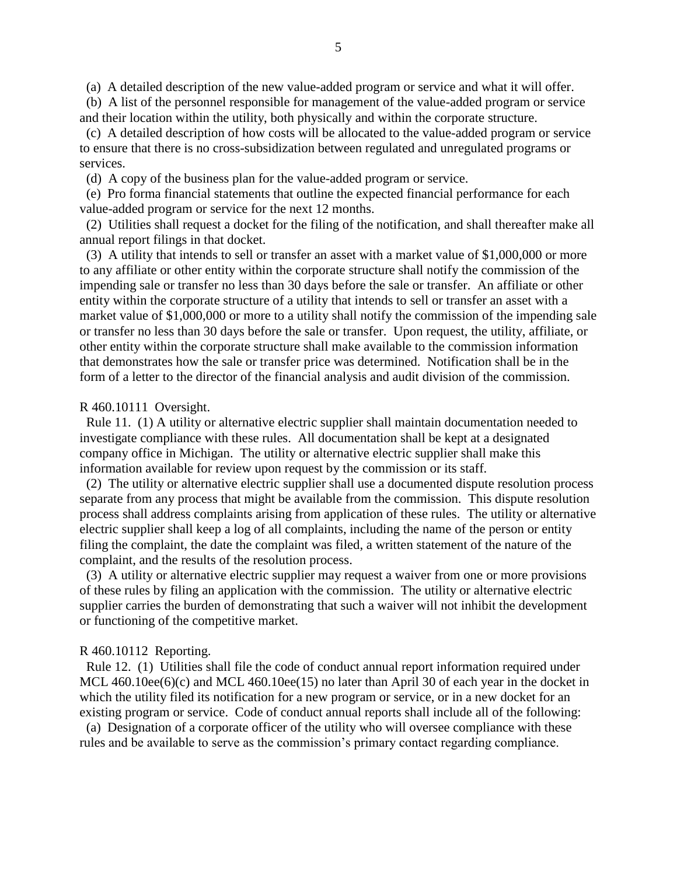(a) A detailed description of the new value-added program or service and what it will offer.

 (b) A list of the personnel responsible for management of the value-added program or service and their location within the utility, both physically and within the corporate structure.

 (c) A detailed description of how costs will be allocated to the value-added program or service to ensure that there is no cross-subsidization between regulated and unregulated programs or services.

(d)A copy of the business plan for the value-added program or service.

(e) Pro forma financial statements that outline the expected financial performance for each value-added program or service for the next 12 months.

(2) Utilities shall request a docket for the filing of the notification, and shall thereafter make all annual report filings in that docket.

 (3) A utility that intends to sell or transfer an asset with a market value of \$1,000,000 or more to any affiliate or other entity within the corporate structure shall notify the commission of the impending sale or transfer no less than 30 days before the sale or transfer. An affiliate or other entity within the corporate structure of a utility that intends to sell or transfer an asset with a market value of \$1,000,000 or more to a utility shall notify the commission of the impending sale or transfer no less than 30 days before the sale or transfer. Upon request, the utility, affiliate, or other entity within the corporate structure shall make available to the commission information that demonstrates how the sale or transfer price was determined. Notification shall be in the form of a letter to the director of the financial analysis and audit division of the commission.

### R 460.10111 Oversight.

 Rule 11. (1) A utility or alternative electric supplier shall maintain documentation needed to investigate compliance with these rules. All documentation shall be kept at a designated company office in Michigan. The utility or alternative electric supplier shall make this information available for review upon request by the commission or its staff.

 (2) The utility or alternative electric supplier shall use a documented dispute resolution process separate from any process that might be available from the commission. This dispute resolution process shall address complaints arising from application of these rules. The utility or alternative electric supplier shall keep a log of all complaints, including the name of the person or entity filing the complaint, the date the complaint was filed, a written statement of the nature of the complaint, and the results of the resolution process.

 (3) A utility or alternative electric supplier may request a waiver from one or more provisions of these rules by filing an application with the commission. The utility or alternative electric supplier carries the burden of demonstrating that such a waiver will not inhibit the development or functioning of the competitive market.

#### R 460.10112 Reporting.

 Rule 12. (1) Utilities shall file the code of conduct annual report information required under MCL 460.10ee(6)(c) and MCL 460.10ee(15) no later than April 30 of each year in the docket in which the utility filed its notification for a new program or service, or in a new docket for an existing program or service. Code of conduct annual reports shall include all of the following:

 (a) Designation of a corporate officer of the utility who will oversee compliance with these rules and be available to serve as the commission's primary contact regarding compliance.